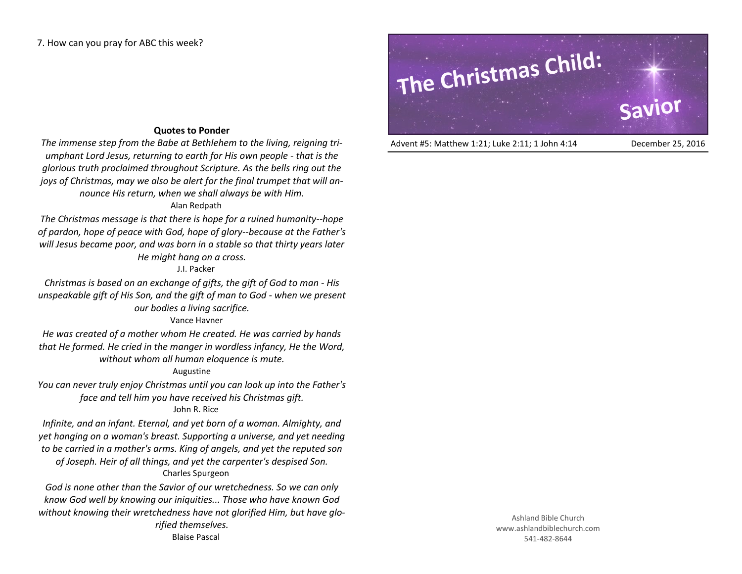# **Quotes to Ponder**

*The immense step from the Babe at Bethlehem to the living, reigning triumphant Lord Jesus, returning to earth for His own people - that is the glorious truth proclaimed throughout Scripture. As the bells ring out the joys of Christmas, may we also be alert for the final trumpet that will announce His return, when we shall always be with Him.*

# Alan Redpath

*The Christmas message is that there is hope for a ruined humanity--hope of pardon, hope of peace with God, hope of glory--because at the Father's will Jesus became poor, and was born in a stable so that thirty years later He might hang on a cross.*

## J.I. Packer

*Christmas is based on an exchange of gifts, the gift of God to man - His unspeakable gift of His Son, and the gift of man to God - when we present our bodies a living sacrifice.*

### Vance Havner

*He was created of a mother whom He created. He was carried by hands that He formed. He cried in the manger in wordless infancy, He the Word, without whom all human eloquence is mute.*

# Augustine

*You can never truly enjoy Christmas until you can look up into the Father's face and tell him you have received his Christmas gift.* John R. Rice

*Infinite, and an infant. Eternal, and yet born of a woman. Almighty, and yet hanging on a woman's breast. Supporting a universe, and yet needing to be carried in a mother's arms. King of angels, and yet the reputed son of Joseph. Heir of all things, and yet the carpenter's despised Son.* Charles Spurgeon

*God is none other than the Savior of our wretchedness. So we can only know God well by knowing our iniquities... Those who have known God without knowing their wretchedness have not glorified Him, but have glorified themselves.* Blaise Pascal

# **The Christmas Child: Savior**

Advent #5: Matthew 1:21; Luke 2:11; 1 John 4:14 December 25, 2016

Ashland Bible Church www.ashlandbiblechurch.com 541-482-8644